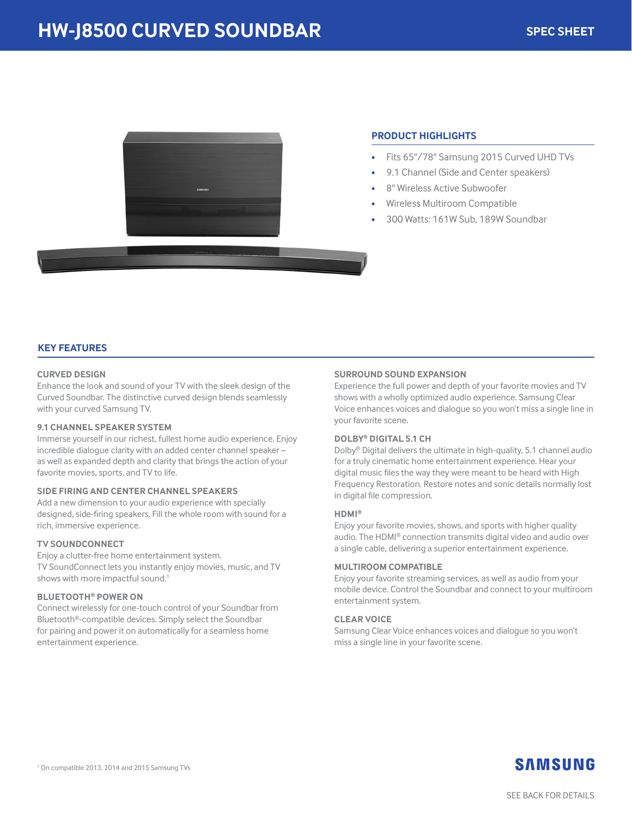

# **PRODUCT HIGHLIGHTS**

- Fits 65"/78" Samsung 2015 Curved UHD TVs
- 9.1 Channel (Side and Center speakers)
- 8" Wireless Active Subwoofer
- Wireless Multiroom Compatible
- 300 Watts: 161W Sub, 189W Soundbar

# **KEY FEATURES**

## **CURVED DESIGN**

Enhance the look and sound of your TV with the sleek design of the Curved Soundbar. The distinctive curved design blends seamlessly with your curved Samsung TV.

#### **9.1 CHANNEL SPEAKER SYSTEM**

Immerse yourself in our richest, fullest home audio experience. Enjoy incredible dialogue clarity with an added center channel speaker – as well as expanded depth and clarity that brings the action of your favorite movies, sports, and TV to life.

#### **SIDE FIRING AND CENTER CHANNEL SPEAKERS**

Add a new dimension to your audio experience with specially designed, side-firing speakers. Fill the whole room with sound for a rich, immersive experience.

#### **TV SOUNDCONNECT**

Enjoy a clutter-free home entertainment system. TV SoundConnect lets you instantly enjoy movies, music, and TV shows with more impactful sound.<sup>1</sup>

#### **BLUETOOTH® POWER ON**

Connect wirelessly for one-touch control of your Soundbar from Bluetooth®-compatible devices. Simply select the Soundbar for pairing and power it on automatically for a seamless home entertainment experience.

#### **SURROUND SOUND EXPANSION**

Experience the full power and depth of your favorite movies and TV shows with a wholly optimized audio experience. Samsung Clear Voice enhances voices and dialogue so you won't miss a single line in your favorite scene.

#### **DOLBY® DIGITAL 5.1 CH**

Dolby® Digital delivers the ultimate in high-quality, 5.1 channel audio for a truly cinematic home entertainment experience. Hear your digital music files the way they were meant to be heard with High Frequency Restoration. Restore notes and sonic details normally lost in digital file compression.

#### **HDMI®**

Enjoy your favorite movies, shows, and sports with higher quality audio. The HDMI® connection transmits digital video and audio over a single cable, delivering a superior entertainment experience.

#### **MULTIROOM COMPATIBLE**

Enjoy your favorite streaming services, as well as audio from your mobile device. Control the Soundbar and connect to your multiroom entertainment system.

#### **CLEAR VOICE**

Samsung Clear Voice enhances voices and dialogue so you won't miss a single line in your favorite scene.